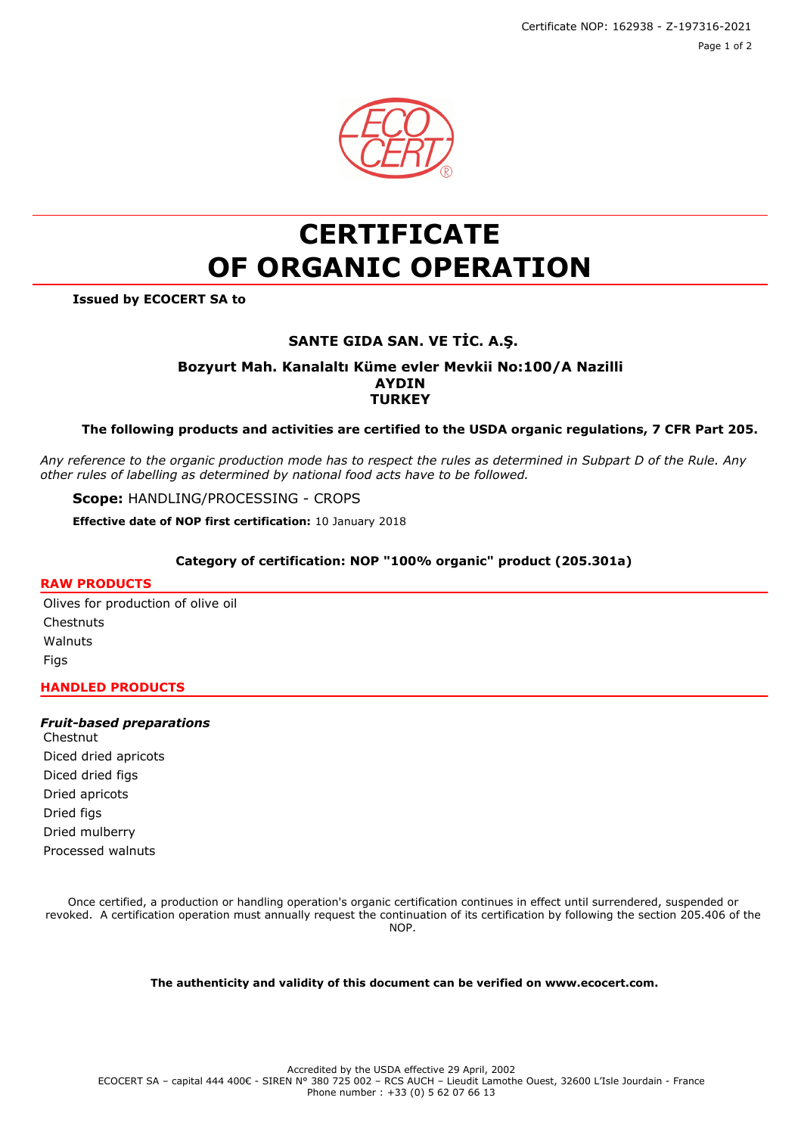Certificate NOP: 162938 - Z-197316-2021 Page 1 of 2



# **CERTIFICATE OF ORGANIC OPERATION**

**Issued by ECOCERT SA to**

# **SANTE GIDA SAN. VE TİC. A.Ş.**

**Bozyurt Mah. Kanalaltı Küme evler Mevkii No:100/A Nazilli AYDIN TURKEY**

## **The following products and activities are certified to the USDA organic regulations, 7 CFR Part 205.**

*Any reference to the organic production mode has to respect the rules as determined in Subpart D of the Rule. Any other rules of labelling as determined by national food acts have to be followed.*

**Scope:** HANDLING/PROCESSING - CROPS

**Effective date of NOP first certification:** 10 January 2018

## **Category of certification: NOP "100% organic" product (205.301a)**

#### **RAW PRODUCTS**

Olives for production of olive oil **Chestnuts** Walnuts Figs

#### **HANDLED PRODUCTS**

#### *Fruit-based preparations*

**Chestnut** Diced dried apricots Diced dried figs Dried apricots Dried figs Dried mulberry Processed walnuts

Once certified, a production or handling operation's organic certification continues in effect until surrendered, suspended or revoked. A certification operation must annually request the continuation of its certification by following the section 205.406 of the NOP.

#### **The authenticity and validity of this document can be verified on www.ecocert.com.**